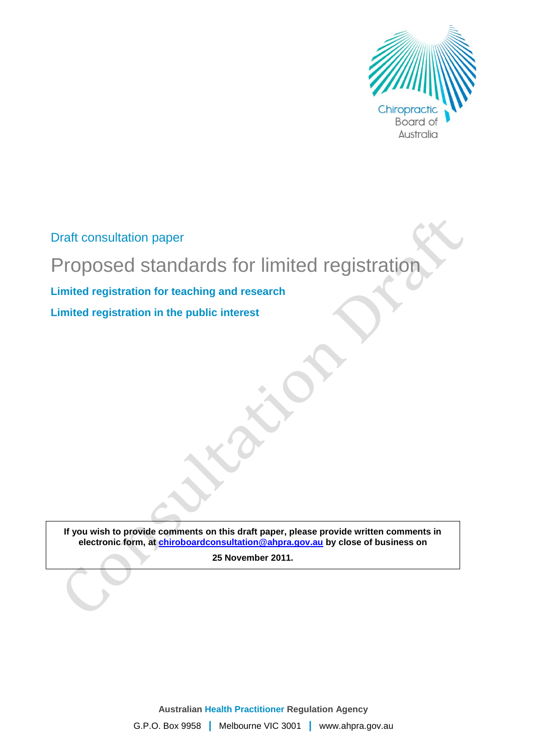

Draft consultation paper

# Proposed standards for limited registration

**Limited registration for teaching and research Limited registration in the public interest**

**If you wish to provide comments on this draft paper, please provide written comments in electronic form, at [chiroboardconsultation@ahpra.gov.au](mailto:chiroboardconsultation@ahpra.gov.au) by close of business on** 

**25 November 2011.**

**Australian Health Practitioner Regulation Agency** G.P.O. Box 9958 **|** Melbourne VIC 3001 **|** www.ahpra.gov.au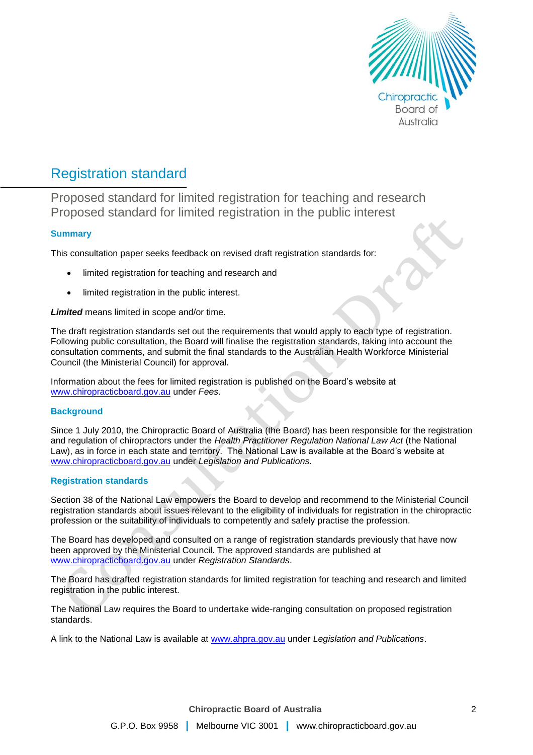

# Registration standard

Proposed standard for limited registration for teaching and research Proposed standard for limited registration in the public interest

# **Summary**

This consultation paper seeks feedback on revised draft registration standards for:

- limited registration for teaching and research and
- limited registration in the public interest.

*Limited* means limited in scope and/or time.

The draft registration standards set out the requirements that would apply to each type of registration. Following public consultation, the Board will finalise the registration standards, taking into account the consultation comments, and submit the final standards to the Australian Health Workforce Ministerial Council (the Ministerial Council) for approval.

Information about the fees for limited registration is published on the Board's website at [www.chiropracticboard.gov.au](http://www.chiropracticboard.gov.au/) under *Fees*.

# **Background**

Since 1 July 2010, the Chiropractic Board of Australia (the Board) has been responsible for the registration and regulation of chiropractors under the *Health Practitioner Regulation National Law Act* (the National Law), as in force in each state and territory. The National Law is available at the Board's website at [www.chiropracticboard.gov.au](http://www.chiropracticboard.gov.au/) under *Legislation and Publications.*

# **Registration standards**

Section 38 of the National Law empowers the Board to develop and recommend to the Ministerial Council registration standards about issues relevant to the eligibility of individuals for registration in the chiropractic profession or the suitability of individuals to competently and safely practise the profession.

The Board has developed and consulted on a range of registration standards previously that have now been approved by the Ministerial Council. The approved standards are published at [www.chiropracticboard.gov.au](http://www.chiropracticboard.gov.au/) under *Registration Standards*.

The Board has drafted registration standards for limited registration for teaching and research and limited registration in the public interest.

The National Law requires the Board to undertake wide-ranging consultation on proposed registration standards.

A link to the National Law is available at [www.ahpra.gov.au](http://www.ahpra.gov.au/) under *Legislation and Publications*.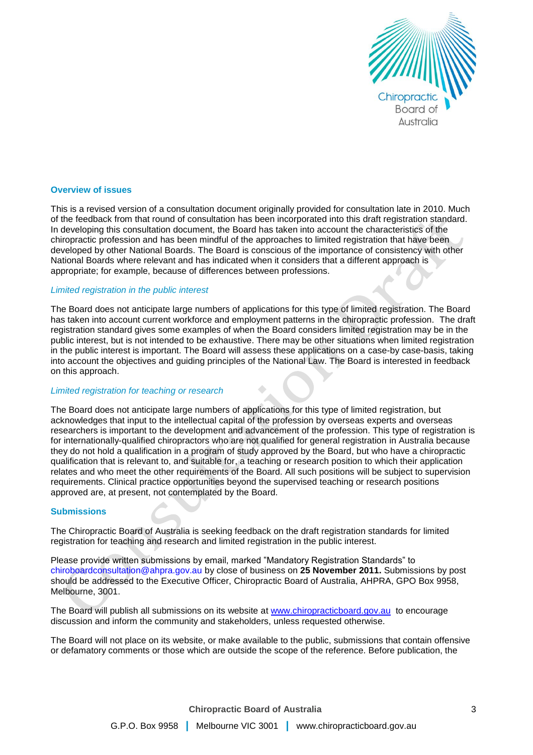

#### **Overview of issues**

This is a revised version of a consultation document originally provided for consultation late in 2010. Much of the feedback from that round of consultation has been incorporated into this draft registration standard. In developing this consultation document, the Board has taken into account the characteristics of the chiropractic profession and has been mindful of the approaches to limited registration that have been developed by other National Boards. The Board is conscious of the importance of consistency with other National Boards where relevant and has indicated when it considers that a different approach is appropriate; for example, because of differences between professions.

# *Limited registration in the public interest*

The Board does not anticipate large numbers of applications for this type of limited registration. The Board has taken into account current workforce and employment patterns in the chiropractic profession. The draft registration standard gives some examples of when the Board considers limited registration may be in the public interest, but is not intended to be exhaustive. There may be other situations when limited registration in the public interest is important. The Board will assess these applications on a case-by case-basis, taking into account the objectives and guiding principles of the National Law. The Board is interested in feedback on this approach.

### *Limited registration for teaching or research*

The Board does not anticipate large numbers of applications for this type of limited registration, but acknowledges that input to the intellectual capital of the profession by overseas experts and overseas researchers is important to the development and advancement of the profession. This type of registration is for internationally-qualified chiropractors who are not qualified for general registration in Australia because they do not hold a qualification in a program of study approved by the Board, but who have a chiropractic qualification that is relevant to, and suitable for, a teaching or research position to which their application relates and who meet the other requirements of the Board. All such positions will be subject to supervision requirements. Clinical practice opportunities beyond the supervised teaching or research positions approved are, at present, not contemplated by the Board.

#### **Submissions**

The Chiropractic Board of Australia is seeking feedback on the draft registration standards for limited registration for teaching and research and limited registration in the public interest.

Please provide written submissions by email, marked "Mandatory Registration Standards" to chiroboardconsultation@ahpra.gov.au by close of business on **25 November 2011.** Submissions by post should be addressed to the Executive Officer, Chiropractic Board of Australia, AHPRA, GPO Box 9958, Melbourne, 3001.

The Board will publish all submissions on its website at [www.chiropracticboard.gov.au](http://www.chiropracticboard.gov.au/) to encourage discussion and inform the community and stakeholders, unless requested otherwise.

The Board will not place on its website, or make available to the public, submissions that contain offensive or defamatory comments or those which are outside the scope of the reference. Before publication, the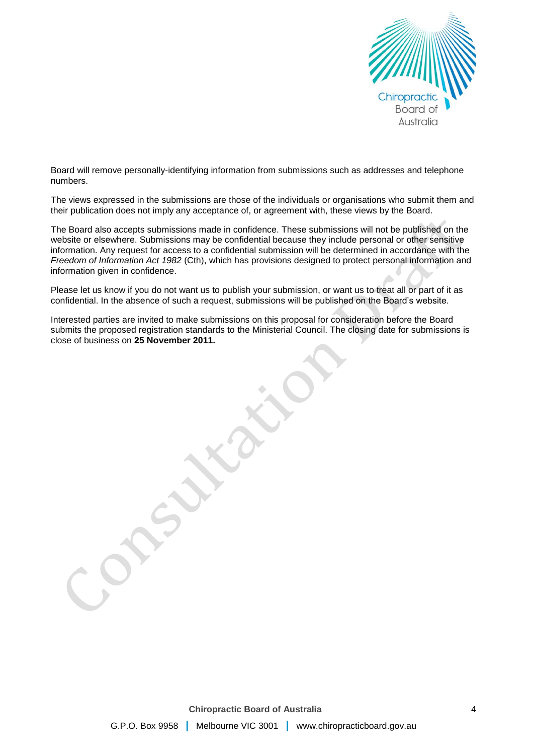

Board will remove personally-identifying information from submissions such as addresses and telephone numbers.

The views expressed in the submissions are those of the individuals or organisations who submit them and their publication does not imply any acceptance of, or agreement with, these views by the Board.

The Board also accepts submissions made in confidence. These submissions will not be published on the website or elsewhere. Submissions may be confidential because they include personal or other sensitive information. Any request for access to a confidential submission will be determined in accordance with the *Freedom of Information Act 1982* (Cth), which has provisions designed to protect personal information and information given in confidence.

Please let us know if you do not want us to publish your submission, or want us to treat all or part of it as confidential. In the absence of such a request, submissions will be published on the Board's website.

Interested parties are invited to make submissions on this proposal for consideration before the Board submits the proposed registration standards to the Ministerial Council. The closing date for submissions is close of business on **25 November 2011.**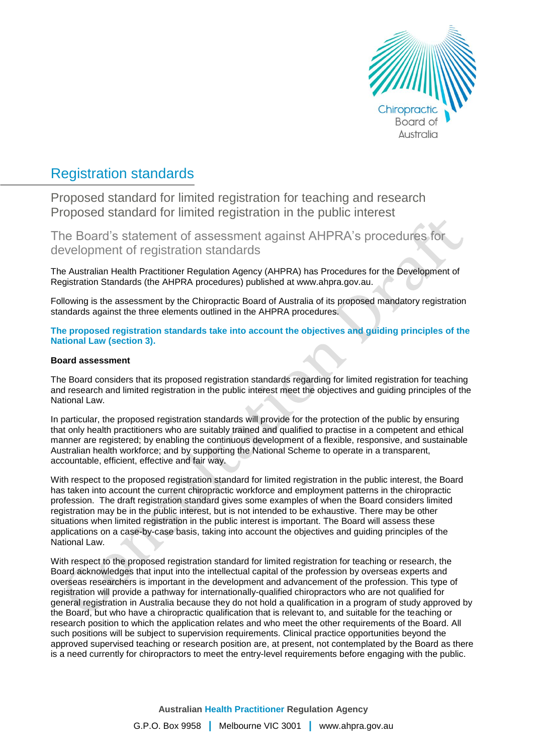

# Registration standards

Proposed standard for limited registration for teaching and research Proposed standard for limited registration in the public interest

The Board's statement of assessment against AHPRA's procedures for development of registration standards

The Australian Health Practitioner Regulation Agency (AHPRA) has Procedures for the Development of Registration Standards (the AHPRA procedures) published at www.ahpra.gov.au.

Following is the assessment by the Chiropractic Board of Australia of its proposed mandatory registration standards against the three elements outlined in the AHPRA procedures.

**The proposed registration standards take into account the objectives and guiding principles of the National Law (section 3).**

### **Board assessment**

The Board considers that its proposed registration standards regarding for limited registration for teaching and research and limited registration in the public interest meet the objectives and guiding principles of the National Law.

In particular, the proposed registration standards will provide for the protection of the public by ensuring that only health practitioners who are suitably trained and qualified to practise in a competent and ethical manner are registered; by enabling the continuous development of a flexible, responsive, and sustainable Australian health workforce; and by supporting the National Scheme to operate in a transparent, accountable, efficient, effective and fair way.

With respect to the proposed registration standard for limited registration in the public interest, the Board has taken into account the current chiropractic workforce and employment patterns in the chiropractic profession. The draft registration standard gives some examples of when the Board considers limited registration may be in the public interest, but is not intended to be exhaustive. There may be other situations when limited registration in the public interest is important. The Board will assess these applications on a case-by-case basis, taking into account the objectives and guiding principles of the National Law.

With respect to the proposed registration standard for limited registration for teaching or research, the Board acknowledges that input into the intellectual capital of the profession by overseas experts and overseas researchers is important in the development and advancement of the profession. This type of registration will provide a pathway for internationally-qualified chiropractors who are not qualified for general registration in Australia because they do not hold a qualification in a program of study approved by the Board, but who have a chiropractic qualification that is relevant to, and suitable for the teaching or research position to which the application relates and who meet the other requirements of the Board. All such positions will be subject to supervision requirements. Clinical practice opportunities beyond the approved supervised teaching or research position are, at present, not contemplated by the Board as there is a need currently for chiropractors to meet the entry-level requirements before engaging with the public.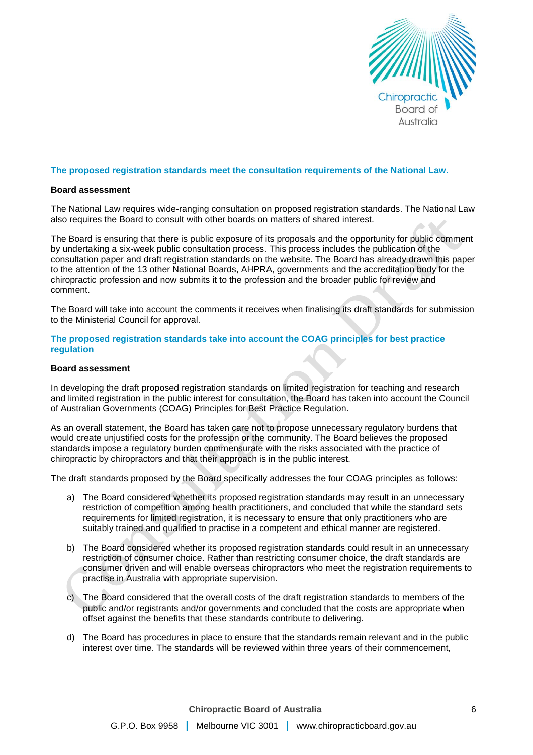

### **The proposed registration standards meet the consultation requirements of the National Law.**

#### **Board assessment**

The National Law requires wide-ranging consultation on proposed registration standards. The National Law also requires the Board to consult with other boards on matters of shared interest.

The Board is ensuring that there is public exposure of its proposals and the opportunity for public comment by undertaking a six-week public consultation process. This process includes the publication of the consultation paper and draft registration standards on the website. The Board has already drawn this paper to the attention of the 13 other National Boards, AHPRA, governments and the accreditation body for the chiropractic profession and now submits it to the profession and the broader public for review and comment.

The Board will take into account the comments it receives when finalising its draft standards for submission to the Ministerial Council for approval.

#### **The proposed registration standards take into account the COAG principles for best practice regulation**

#### **Board assessment**

In developing the draft proposed registration standards on limited registration for teaching and research and limited registration in the public interest for consultation, the Board has taken into account the Council of Australian Governments (COAG) Principles for Best Practice Regulation.

As an overall statement, the Board has taken care not to propose unnecessary regulatory burdens that would create unjustified costs for the profession or the community. The Board believes the proposed standards impose a regulatory burden commensurate with the risks associated with the practice of chiropractic by chiropractors and that their approach is in the public interest.

The draft standards proposed by the Board specifically addresses the four COAG principles as follows:

- a) The Board considered whether its proposed registration standards may result in an unnecessary restriction of competition among health practitioners, and concluded that while the standard sets requirements for limited registration, it is necessary to ensure that only practitioners who are suitably trained and qualified to practise in a competent and ethical manner are registered.
- b) The Board considered whether its proposed registration standards could result in an unnecessary restriction of consumer choice. Rather than restricting consumer choice, the draft standards are consumer driven and will enable overseas chiropractors who meet the registration requirements to practise in Australia with appropriate supervision.
- c) The Board considered that the overall costs of the draft registration standards to members of the public and/or registrants and/or governments and concluded that the costs are appropriate when offset against the benefits that these standards contribute to delivering.
- d) The Board has procedures in place to ensure that the standards remain relevant and in the public interest over time. The standards will be reviewed within three years of their commencement,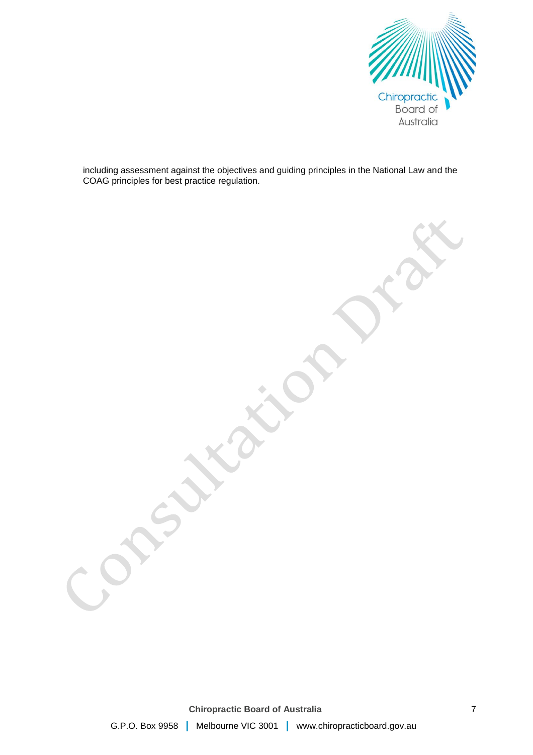

including assessment against the objectives and guiding principles in the National Law and the COAG principles for best practice regulation.

**Chiropractic Board of Australia** G.P.O. Box 9958 **|** Melbourne VIC 3001 **|** www.chiropracticboard.gov.au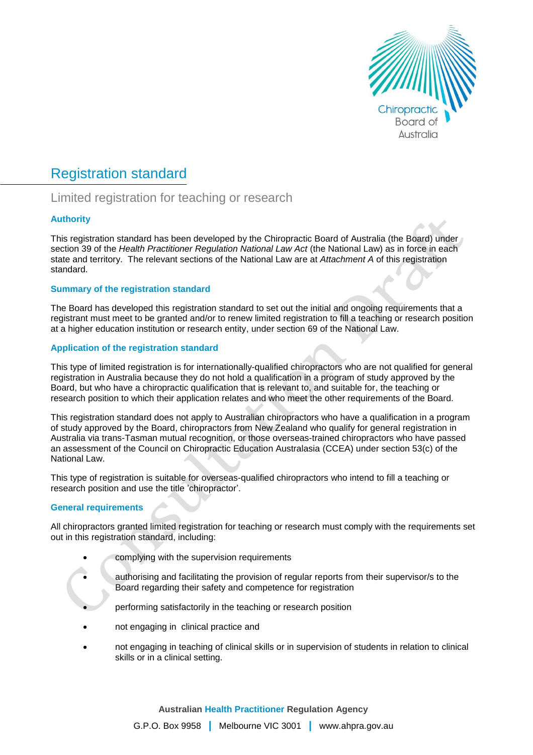

# Registration standard

# Limited registration for teaching or research

# **Authority**

This registration standard has been developed by the Chiropractic Board of Australia (the Board) under section 39 of the *Health Practitioner Regulation National Law Act* (the National Law) as in force in each state and territory. The relevant sections of the National Law are at *Attachment A* of this registration standard.

# **Summary of the registration standard**

The Board has developed this registration standard to set out the initial and ongoing requirements that a registrant must meet to be granted and/or to renew limited registration to fill a teaching or research position at a higher education institution or research entity, under section 69 of the National Law.

# **Application of the registration standard**

This type of limited registration is for internationally-qualified chiropractors who are not qualified for general registration in Australia because they do not hold a qualification in a program of study approved by the Board, but who have a chiropractic qualification that is relevant to, and suitable for, the teaching or research position to which their application relates and who meet the other requirements of the Board.

This registration standard does not apply to Australian chiropractors who have a qualification in a program of study approved by the Board, chiropractors from New Zealand who qualify for general registration in Australia via trans-Tasman mutual recognition, or those overseas-trained chiropractors who have passed an assessment of the Council on Chiropractic Education Australasia (CCEA) under section 53(c) of the National Law.

This type of registration is suitable for overseas-qualified chiropractors who intend to fill a teaching or research position and use the title 'chiropractor'.

# **General requirements**

All chiropractors granted limited registration for teaching or research must comply with the requirements set out in this registration standard, including:

- complying with the supervision requirements
- authorising and facilitating the provision of regular reports from their supervisor/s to the Board regarding their safety and competence for registration
- performing satisfactorily in the teaching or research position
- not engaging in clinical practice and
- not engaging in teaching of clinical skills or in supervision of students in relation to clinical skills or in a clinical setting.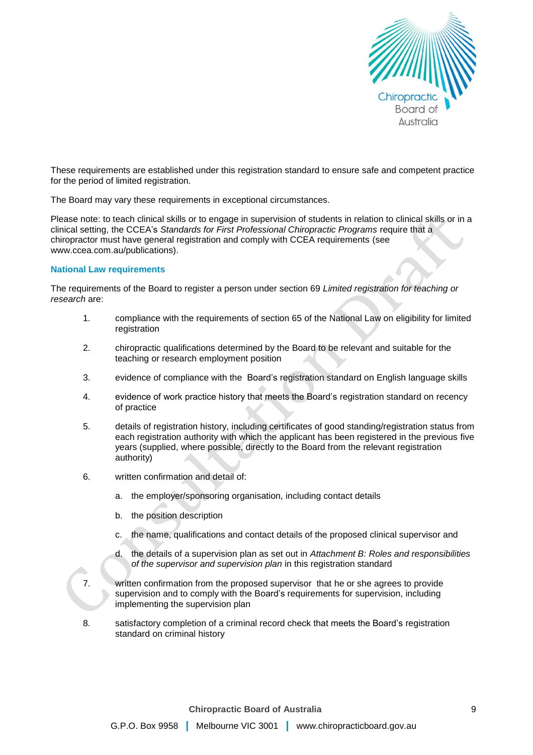

These requirements are established under this registration standard to ensure safe and competent practice for the period of limited registration.

The Board may vary these requirements in exceptional circumstances.

Please note: to teach clinical skills or to engage in supervision of students in relation to clinical skills or in a clinical setting, the CCEA's *Standards for First Professional Chiropractic Programs* require that a chiropractor must have general registration and comply with CCEA requirements (see www.ccea.com.au/publications).

### **National Law requirements**

The requirements of the Board to register a person under section 69 *Limited registration for teaching or research* are:

- 1. compliance with the requirements of section 65 of the National Law on eligibility for limited registration
- 2. chiropractic qualifications determined by the Board to be relevant and suitable for the teaching or research employment position
- 3. evidence of compliance with the Board's registration standard on English language skills
- 4. evidence of work practice history that meets the Board's registration standard on recency of practice
- 5. details of registration history, including certificates of good standing/registration status from each registration authority with which the applicant has been registered in the previous five years (supplied, where possible, directly to the Board from the relevant registration authority)
- 6. written confirmation and detail of:
	- a. the employer/sponsoring organisation, including contact details
	- b. the position description
	- c. the name, qualifications and contact details of the proposed clinical supervisor and
	- d. the details of a supervision plan as set out in *Attachment B: Roles and responsibilities of the supervisor and supervision plan* in this registration standard
- 7. written confirmation from the proposed supervisor that he or she agrees to provide supervision and to comply with the Board's requirements for supervision, including implementing the supervision plan
- 8. satisfactory completion of a criminal record check that meets the Board's registration standard on criminal history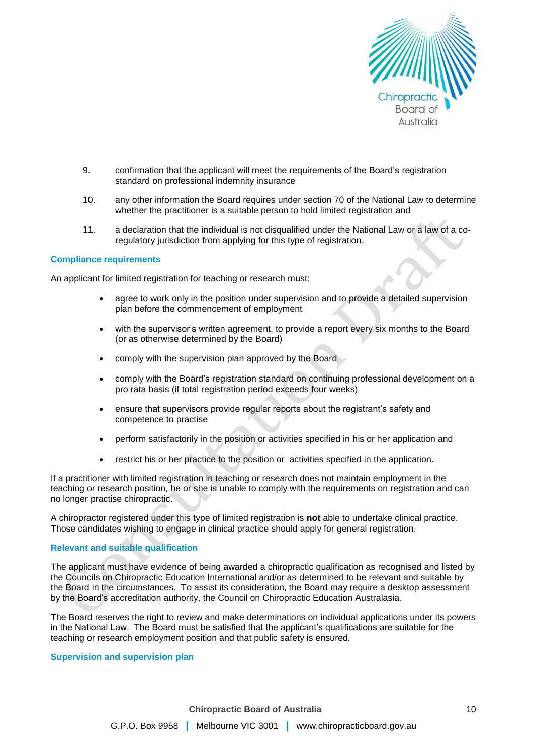

- 9. confirmation that the applicant will meet the requirements of the Board's registration standard on professional indemnity insurance
- 10. any other information the Board requires under section 70 of the National Law to determine whether the practitioner is a suitable person to hold limited registration and
- 11. a declaration that the individual is not disqualified under the National Law or a law of a coregulatory jurisdiction from applying for this type of registration.

#### **Compliance requirements**

An applicant for limited registration for teaching or research must:

- agree to work only in the position under supervision and to provide a detailed supervision plan before the commencement of employment
- with the supervisor's written agreement, to provide a report every six months to the Board (or as otherwise determined by the Board)
- comply with the supervision plan approved by the Board
- comply with the Board's registration standard on continuing professional development on a pro rata basis (if total registration period exceeds four weeks)
- ensure that supervisors provide regular reports about the registrant's safety and competence to practise
- perform satisfactorily in the position or activities specified in his or her application and
- restrict his or her practice to the position or activities specified in the application.

If a practitioner with limited registration in teaching or research does not maintain employment in the teaching or research position, he or she is unable to comply with the requirements on registration and can no longer practise chiropractic.

A chiropractor registered under this type of limited registration is **not** able to undertake clinical practice. Those candidates wishing to engage in clinical practice should apply for general registration.

# **Relevant and suitable qualification**

The applicant must have evidence of being awarded a chiropractic qualification as recognised and listed by the Councils on Chiropractic Education International and/or as determined to be relevant and suitable by the Board in the circumstances. To assist its consideration, the Board may require a desktop assessment by the Board's accreditation authority, the Council on Chiropractic Education Australasia.

The Board reserves the right to review and make determinations on individual applications under its powers in the National Law. The Board must be satisfied that the applicant's qualifications are suitable for the teaching or research employment position and that public safety is ensured.

#### **Supervision and supervision plan**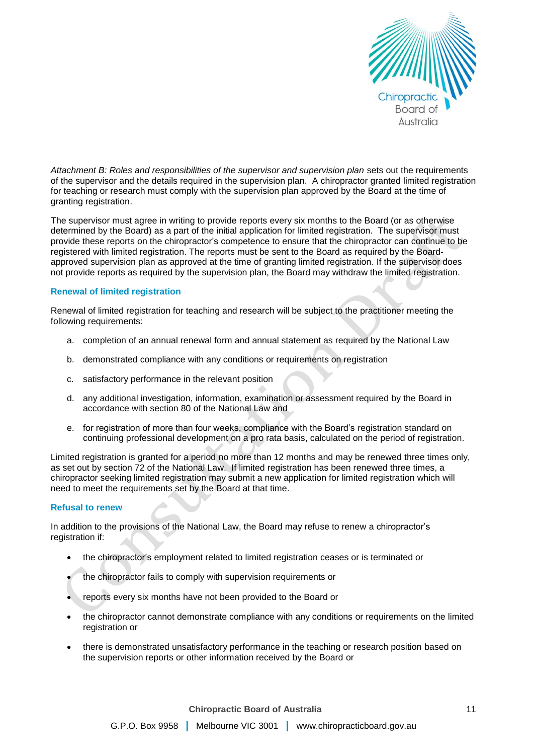

*Attachment B: Roles and responsibilities of the supervisor and supervision plan* sets out the requirements of the supervisor and the details required in the supervision plan. A chiropractor granted limited registration for teaching or research must comply with the supervision plan approved by the Board at the time of granting registration.

The supervisor must agree in writing to provide reports every six months to the Board (or as otherwise determined by the Board) as a part of the initial application for limited registration. The supervisor must provide these reports on the chiropractor's competence to ensure that the chiropractor can continue to be registered with limited registration. The reports must be sent to the Board as required by the Boardapproved supervision plan as approved at the time of granting limited registration. If the supervisor does not provide reports as required by the supervision plan, the Board may withdraw the limited registration.

# **Renewal of limited registration**

Renewal of limited registration for teaching and research will be subject to the practitioner meeting the following requirements:

- a. completion of an annual renewal form and annual statement as required by the National Law
- b. demonstrated compliance with any conditions or requirements on registration
- c. satisfactory performance in the relevant position
- d. any additional investigation, information, examination or assessment required by the Board in accordance with section 80 of the National Law and
- e. for registration of more than four weeks, compliance with the Board's registration standard on continuing professional development on a pro rata basis, calculated on the period of registration.

Limited registration is granted for a period no more than 12 months and may be renewed three times only, as set out by section 72 of the National Law. If limited registration has been renewed three times, a chiropractor seeking limited registration may submit a new application for limited registration which will need to meet the requirements set by the Board at that time.

# **Refusal to renew**

In addition to the provisions of the National Law, the Board may refuse to renew a chiropractor's registration if:

- the chiropractor's employment related to limited registration ceases or is terminated or
- the chiropractor fails to comply with supervision requirements or
- reports every six months have not been provided to the Board or
- the chiropractor cannot demonstrate compliance with any conditions or requirements on the limited registration or
- there is demonstrated unsatisfactory performance in the teaching or research position based on the supervision reports or other information received by the Board or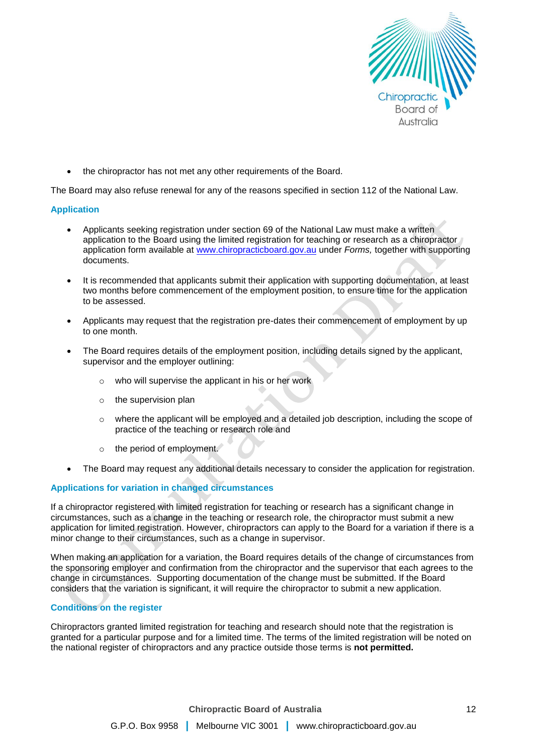

the chiropractor has not met any other requirements of the Board.

The Board may also refuse renewal for any of the reasons specified in section 112 of the National Law.

### **Application**

- Applicants seeking registration under section 69 of the National Law must make a written application to the Board using the limited registration for teaching or research as a chiropractor application form available at [www.chiropracticboard.gov.au](http://www.chiropracticboard.gov.au/) under *Forms,* together with supporting documents.
- It is recommended that applicants submit their application with supporting documentation, at least two months before commencement of the employment position, to ensure time for the application to be assessed.
- Applicants may request that the registration pre-dates their commencement of employment by up to one month.
- The Board requires details of the employment position, including details signed by the applicant, supervisor and the employer outlining:
	- o who will supervise the applicant in his or her work
	- o the supervision plan
	- o where the applicant will be employed and a detailed job description, including the scope of practice of the teaching or research role and
	- o the period of employment.
- The Board may request any additional details necessary to consider the application for registration.

#### **Applications for variation in changed circumstances**

If a chiropractor registered with limited registration for teaching or research has a significant change in circumstances, such as a change in the teaching or research role, the chiropractor must submit a new application for limited registration. However, chiropractors can apply to the Board for a variation if there is a minor change to their circumstances, such as a change in supervisor.

When making an application for a variation, the Board requires details of the change of circumstances from the sponsoring employer and confirmation from the chiropractor and the supervisor that each agrees to the change in circumstances. Supporting documentation of the change must be submitted. If the Board considers that the variation is significant, it will require the chiropractor to submit a new application.

# **Conditions on the register**

Chiropractors granted limited registration for teaching and research should note that the registration is granted for a particular purpose and for a limited time. The terms of the limited registration will be noted on the national register of chiropractors and any practice outside those terms is **not permitted.**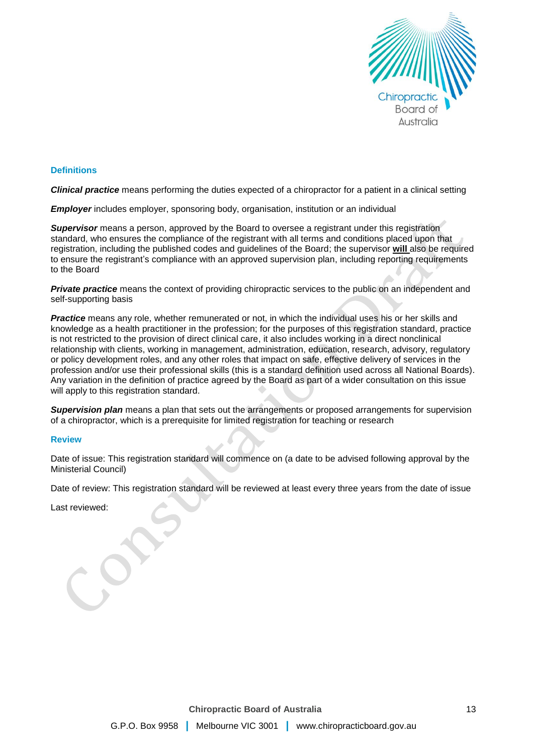

### **Definitions**

*Clinical practice* means performing the duties expected of a chiropractor for a patient in a clinical setting

*Employer* includes employer, sponsoring body, organisation, institution or an individual

**Supervisor** means a person, approved by the Board to oversee a registrant under this registration standard, who ensures the compliance of the registrant with all terms and conditions placed upon that registration, including the published codes and guidelines of the Board; the supervisor **will** also be required to ensure the registrant's compliance with an approved supervision plan, including reporting requirements to the Board

**Private practice** means the context of providing chiropractic services to the public on an independent and self-supporting basis

**Practice** means any role, whether remunerated or not, in which the individual uses his or her skills and knowledge as a health practitioner in the profession; for the purposes of this registration standard, practice is not restricted to the provision of direct clinical care, it also includes working in a direct nonclinical relationship with clients, working in management, administration, education, research, advisory, regulatory or policy development roles, and any other roles that impact on safe, effective delivery of services in the profession and/or use their professional skills (this is a standard definition used across all National Boards). Any variation in the definition of practice agreed by the Board as part of a wider consultation on this issue will apply to this registration standard.

*Supervision plan* means a plan that sets out the arrangements or proposed arrangements for supervision of a chiropractor, which is a prerequisite for limited registration for teaching or research

#### **Review**

Date of issue: This registration standard will commence on (a date to be advised following approval by the Ministerial Council)

Date of review: This registration standard will be reviewed at least every three years from the date of issue

Last reviewed: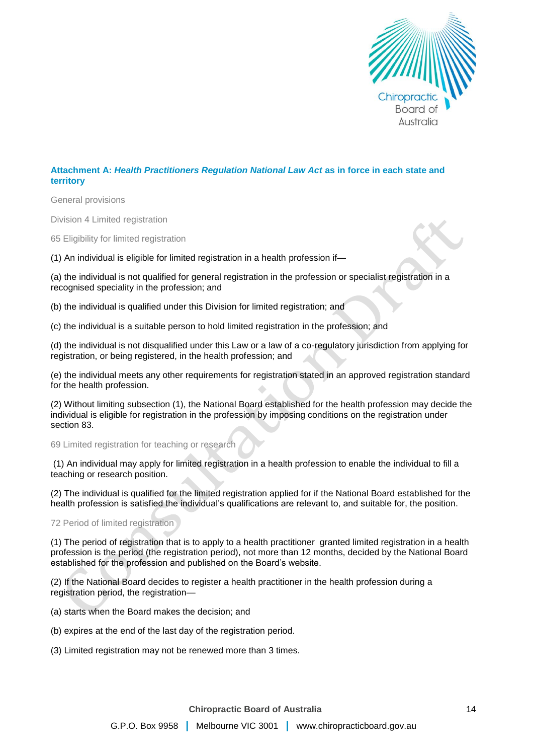

# **Attachment A:** *Health Practitioners Regulation National Law Act* **as in force in each state and territory**

General provisions

Division 4 Limited registration

65 Eligibility for limited registration

(1) An individual is eligible for limited registration in a health profession if—

(a) the individual is not qualified for general registration in the profession or specialist registration in a recognised speciality in the profession; and

(b) the individual is qualified under this Division for limited registration; and

(c) the individual is a suitable person to hold limited registration in the profession; and

(d) the individual is not disqualified under this Law or a law of a co-regulatory jurisdiction from applying for registration, or being registered, in the health profession; and

(e) the individual meets any other requirements for registration stated in an approved registration standard for the health profession.

(2) Without limiting subsection (1), the National Board established for the health profession may decide the individual is eligible for registration in the profession by imposing conditions on the registration under section 83.

69 Limited registration for teaching or research

(1) An individual may apply for limited registration in a health profession to enable the individual to fill a teaching or research position.

(2) The individual is qualified for the limited registration applied for if the National Board established for the health profession is satisfied the individual's qualifications are relevant to, and suitable for, the position.

72 Period of limited registration

(1) The period of registration that is to apply to a health practitioner granted limited registration in a health profession is the period (the registration period), not more than 12 months, decided by the National Board established for the profession and published on the Board's website.

(2) If the National Board decides to register a health practitioner in the health profession during a registration period, the registration—

- (a) starts when the Board makes the decision; and
- (b) expires at the end of the last day of the registration period.
- (3) Limited registration may not be renewed more than 3 times.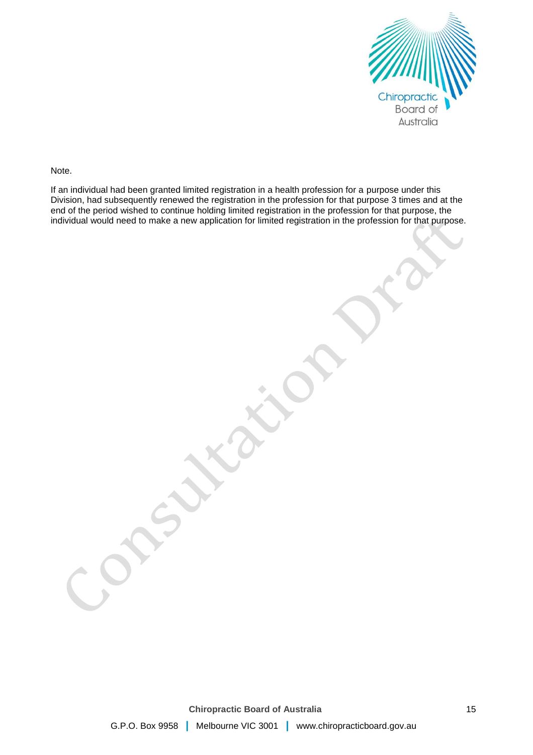

Note.

If an individual had been granted limited registration in a health profession for a purpose under this Division, had subsequently renewed the registration in the profession for that purpose 3 times and at the end of the period wished to continue holding limited registration in the profession for that purpose, the individual would need to make a new application for limited registration in the profession for that purpose.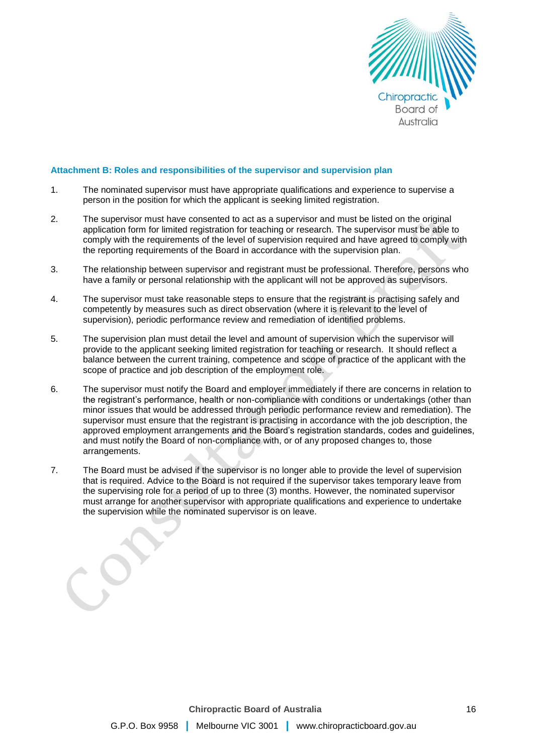

#### **Attachment B: Roles and responsibilities of the supervisor and supervision plan**

- 1. The nominated supervisor must have appropriate qualifications and experience to supervise a person in the position for which the applicant is seeking limited registration.
- 2. The supervisor must have consented to act as a supervisor and must be listed on the original application form for limited registration for teaching or research. The supervisor must be able to comply with the requirements of the level of supervision required and have agreed to comply with the reporting requirements of the Board in accordance with the supervision plan.
- 3. The relationship between supervisor and registrant must be professional. Therefore, persons who have a family or personal relationship with the applicant will not be approved as supervisors.
- 4. The supervisor must take reasonable steps to ensure that the registrant is practising safely and competently by measures such as direct observation (where it is relevant to the level of supervision), periodic performance review and remediation of identified problems.
- 5. The supervision plan must detail the level and amount of supervision which the supervisor will provide to the applicant seeking limited registration for teaching or research. It should reflect a balance between the current training, competence and scope of practice of the applicant with the scope of practice and job description of the employment role.
- 6. The supervisor must notify the Board and employer immediately if there are concerns in relation to the registrant's performance, health or non-compliance with conditions or undertakings (other than minor issues that would be addressed through periodic performance review and remediation). The supervisor must ensure that the registrant is practising in accordance with the job description, the approved employment arrangements and the Board's registration standards, codes and guidelines, and must notify the Board of non-compliance with, or of any proposed changes to, those arrangements.
- 7. The Board must be advised if the supervisor is no longer able to provide the level of supervision that is required. Advice to the Board is not required if the supervisor takes temporary leave from the supervising role for a period of up to three (3) months. However, the nominated supervisor must arrange for another supervisor with appropriate qualifications and experience to undertake the supervision while the nominated supervisor is on leave.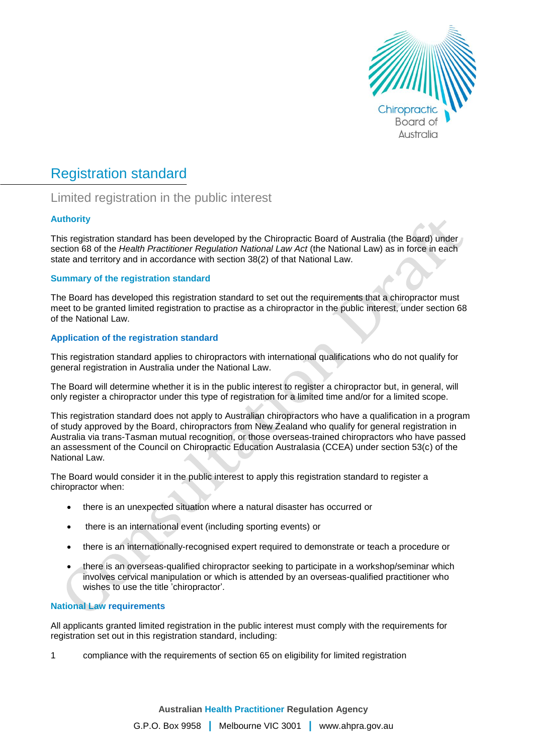

# Registration standard

# Limited registration in the public interest

# **Authority**

This registration standard has been developed by the Chiropractic Board of Australia (the Board) under section 68 of the *Health Practitioner Regulation National Law Act* (the National Law) as in force in each state and territory and in accordance with section 38(2) of that National Law.

# **Summary of the registration standard**

The Board has developed this registration standard to set out the requirements that a chiropractor must meet to be granted limited registration to practise as a chiropractor in the public interest, under section 68 of the National Law.

# **Application of the registration standard**

This registration standard applies to chiropractors with international qualifications who do not qualify for general registration in Australia under the National Law.

The Board will determine whether it is in the public interest to register a chiropractor but, in general, will only register a chiropractor under this type of registration for a limited time and/or for a limited scope.

This registration standard does not apply to Australian chiropractors who have a qualification in a program of study approved by the Board, chiropractors from New Zealand who qualify for general registration in Australia via trans-Tasman mutual recognition, or those overseas-trained chiropractors who have passed an assessment of the Council on Chiropractic Education Australasia (CCEA) under section 53(c) of the National Law.

The Board would consider it in the public interest to apply this registration standard to register a chiropractor when:

- there is an unexpected situation where a natural disaster has occurred or
- there is an international event (including sporting events) or
- there is an internationally-recognised expert required to demonstrate or teach a procedure or
- there is an overseas-qualified chiropractor seeking to participate in a workshop/seminar which involves cervical manipulation or which is attended by an overseas-qualified practitioner who wishes to use the title 'chiropractor'.

# **National Law requirements**

All applicants granted limited registration in the public interest must comply with the requirements for registration set out in this registration standard, including:

1 compliance with the requirements of section 65 on eligibility for limited registration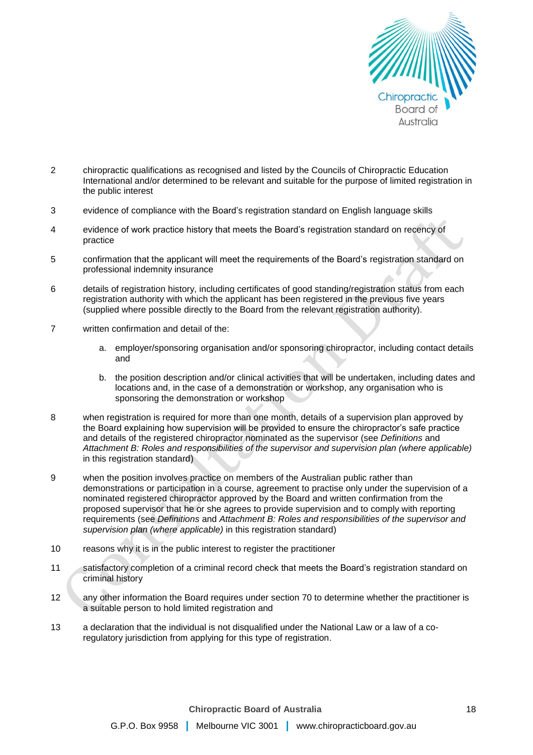

- 2 chiropractic qualifications as recognised and listed by the Councils of Chiropractic Education International and/or determined to be relevant and suitable for the purpose of limited registration in the public interest
- 3 evidence of compliance with the Board's registration standard on English language skills
- 4 evidence of work practice history that meets the Board's registration standard on recency of practice
- 5 confirmation that the applicant will meet the requirements of the Board's registration standard on professional indemnity insurance
- 6 details of registration history, including certificates of good standing/registration status from each registration authority with which the applicant has been registered in the previous five years (supplied where possible directly to the Board from the relevant registration authority).
- 7 written confirmation and detail of the:
	- a. employer/sponsoring organisation and/or sponsoring chiropractor, including contact details and
	- b. the position description and/or clinical activities that will be undertaken, including dates and locations and, in the case of a demonstration or workshop, any organisation who is sponsoring the demonstration or workshop
- 8 when registration is required for more than one month, details of a supervision plan approved by the Board explaining how supervision will be provided to ensure the chiropractor's safe practice and details of the registered chiropractor nominated as the supervisor (see *Definitions* and *Attachment B: Roles and responsibilities of the supervisor and supervision plan (where applicable)* in this registration standard)
- 9 when the position involves practice on members of the Australian public rather than demonstrations or participation in a course, agreement to practise only under the supervision of a nominated registered chiropractor approved by the Board and written confirmation from the proposed supervisor that he or she agrees to provide supervision and to comply with reporting requirements (see *Definitions* and *Attachment B: Roles and responsibilities of the supervisor and supervision plan (where applicable)* in this registration standard)
- 10 reasons why it is in the public interest to register the practitioner
- 11 satisfactory completion of a criminal record check that meets the Board's registration standard on criminal history
- 12 any other information the Board requires under section 70 to determine whether the practitioner is a suitable person to hold limited registration and
- 13 a declaration that the individual is not disqualified under the National Law or a law of a coregulatory jurisdiction from applying for this type of registration.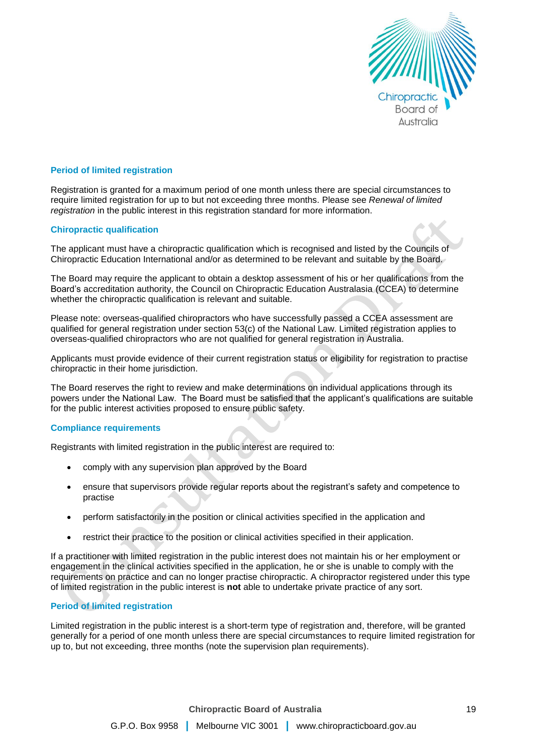

#### **Period of limited registration**

Registration is granted for a maximum period of one month unless there are special circumstances to require limited registration for up to but not exceeding three months. Please see *Renewal of limited registration* in the public interest in this registration standard for more information.

#### **Chiropractic qualification**

The applicant must have a chiropractic qualification which is recognised and listed by the Councils of Chiropractic Education International and/or as determined to be relevant and suitable by the Board.

The Board may require the applicant to obtain a desktop assessment of his or her qualifications from the Board's accreditation authority, the Council on Chiropractic Education Australasia (CCEA) to determine whether the chiropractic qualification is relevant and suitable.

Please note: overseas-qualified chiropractors who have successfully passed a CCEA assessment are qualified for general registration under section 53(c) of the National Law. Limited registration applies to overseas-qualified chiropractors who are not qualified for general registration in Australia.

Applicants must provide evidence of their current registration status or eligibility for registration to practise chiropractic in their home jurisdiction.

The Board reserves the right to review and make determinations on individual applications through its powers under the National Law. The Board must be satisfied that the applicant's qualifications are suitable for the public interest activities proposed to ensure public safety.

# **Compliance requirements**

Registrants with limited registration in the public interest are required to:

- comply with any supervision plan approved by the Board
- ensure that supervisors provide regular reports about the registrant's safety and competence to practise
- perform satisfactorily in the position or clinical activities specified in the application and
- restrict their practice to the position or clinical activities specified in their application.

If a practitioner with limited registration in the public interest does not maintain his or her employment or engagement in the clinical activities specified in the application, he or she is unable to comply with the requirements on practice and can no longer practise chiropractic. A chiropractor registered under this type of limited registration in the public interest is **not** able to undertake private practice of any sort.

# **Period of limited registration**

Limited registration in the public interest is a short-term type of registration and, therefore, will be granted generally for a period of one month unless there are special circumstances to require limited registration for up to, but not exceeding, three months (note the supervision plan requirements).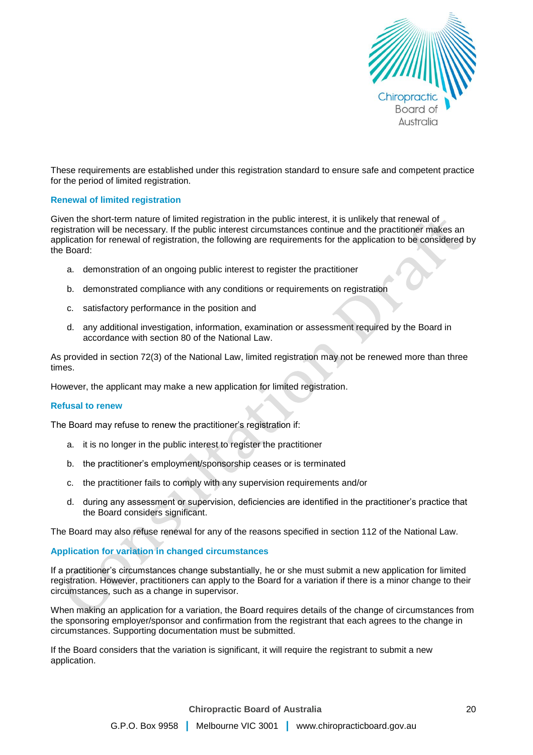

These requirements are established under this registration standard to ensure safe and competent practice for the period of limited registration.

### **Renewal of limited registration**

Given the short-term nature of limited registration in the public interest, it is unlikely that renewal of registration will be necessary. If the public interest circumstances continue and the practitioner makes an application for renewal of registration, the following are requirements for the application to be considered by the Board:

- a. demonstration of an ongoing public interest to register the practitioner
- b. demonstrated compliance with any conditions or requirements on registration
- c. satisfactory performance in the position and
- d. any additional investigation, information, examination or assessment required by the Board in accordance with section 80 of the National Law.

As provided in section 72(3) of the National Law, limited registration may not be renewed more than three times.

However, the applicant may make a new application for limited registration.

#### **Refusal to renew**

The Board may refuse to renew the practitioner's registration if:

- a. it is no longer in the public interest to register the practitioner
- b. the practitioner's employment/sponsorship ceases or is terminated
- c. the practitioner fails to comply with any supervision requirements and/or
- d. during any assessment or supervision, deficiencies are identified in the practitioner's practice that the Board considers significant.

The Board may also refuse renewal for any of the reasons specified in section 112 of the National Law.

#### **Application for variation in changed circumstances**

If a practitioner's circumstances change substantially, he or she must submit a new application for limited registration. However, practitioners can apply to the Board for a variation if there is a minor change to their circumstances, such as a change in supervisor.

When making an application for a variation, the Board requires details of the change of circumstances from the sponsoring employer/sponsor and confirmation from the registrant that each agrees to the change in circumstances. Supporting documentation must be submitted.

If the Board considers that the variation is significant, it will require the registrant to submit a new application.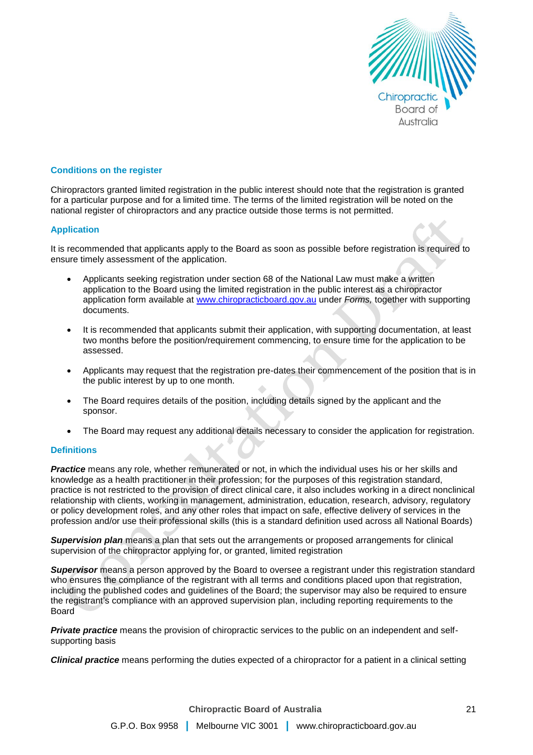

### **Conditions on the register**

Chiropractors granted limited registration in the public interest should note that the registration is granted for a particular purpose and for a limited time. The terms of the limited registration will be noted on the national register of chiropractors and any practice outside those terms is not permitted.

# **Application**

It is recommended that applicants apply to the Board as soon as possible before registration is required to ensure timely assessment of the application.

- Applicants seeking registration under section 68 of the National Law must make a written application to the Board using the limited registration in the public interest as a chiropractor application form available at [www.chiropracticboard.gov.au](http://www.chiropracticboard.gov.au/) under *Forms,* together with supporting documents.
- It is recommended that applicants submit their application, with supporting documentation, at least two months before the position/requirement commencing, to ensure time for the application to be assessed.
- Applicants may request that the registration pre-dates their commencement of the position that is in the public interest by up to one month.
- The Board requires details of the position, including details signed by the applicant and the sponsor.
- The Board may request any additional details necessary to consider the application for registration.

# **Definitions**

**Practice** means any role, whether remunerated or not, in which the individual uses his or her skills and knowledge as a health practitioner in their profession; for the purposes of this registration standard, practice is not restricted to the provision of direct clinical care, it also includes working in a direct nonclinical relationship with clients, working in management, administration, education, research, advisory, regulatory or policy development roles, and any other roles that impact on safe, effective delivery of services in the profession and/or use their professional skills (this is a standard definition used across all National Boards)

*Supervision plan* means a plan that sets out the arrangements or proposed arrangements for clinical supervision of the chiropractor applying for, or granted, limited registration

*Supervisor* means a person approved by the Board to oversee a registrant under this registration standard who ensures the compliance of the registrant with all terms and conditions placed upon that registration, including the published codes and guidelines of the Board; the supervisor may also be required to ensure the registrant's compliance with an approved supervision plan, including reporting requirements to the Board

**Private practice** means the provision of chiropractic services to the public on an independent and selfsupporting basis

*Clinical practice* means performing the duties expected of a chiropractor for a patient in a clinical setting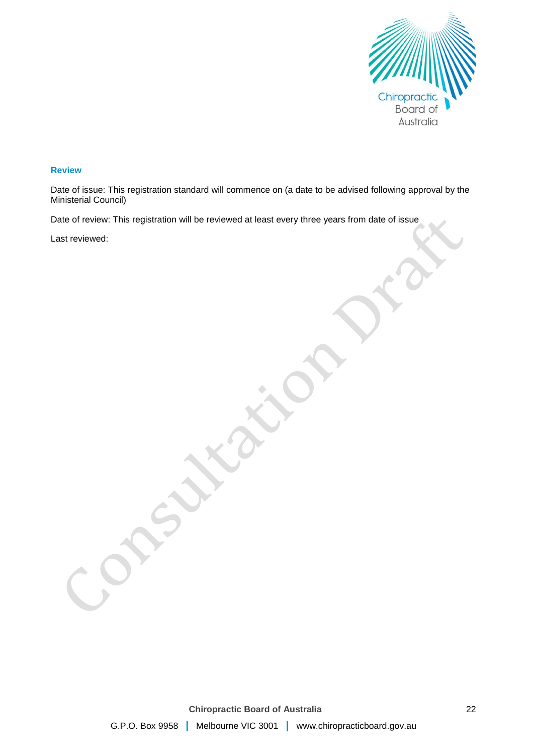

#### **Review**

Date of issue: This registration standard will commence on (a date to be advised following approval by the Ministerial Council)

Date of review: This registration will be reviewed at least every three years from date of issue

Last reviewed: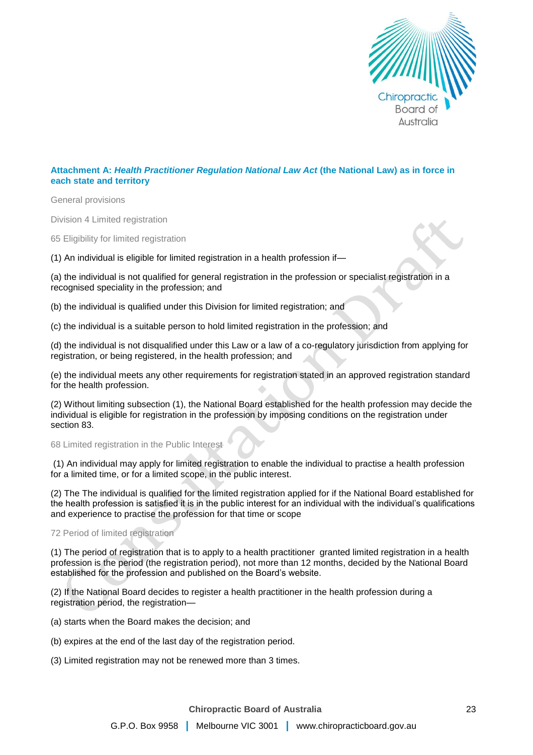

# **Attachment A:** *Health Practitioner Regulation National Law Act* **(the National Law) as in force in each state and territory**

General provisions

Division 4 Limited registration

65 Eligibility for limited registration

(1) An individual is eligible for limited registration in a health profession if—

(a) the individual is not qualified for general registration in the profession or specialist registration in a recognised speciality in the profession; and

(b) the individual is qualified under this Division for limited registration; and

(c) the individual is a suitable person to hold limited registration in the profession; and

(d) the individual is not disqualified under this Law or a law of a co-regulatory jurisdiction from applying for registration, or being registered, in the health profession; and

(e) the individual meets any other requirements for registration stated in an approved registration standard for the health profession.

(2) Without limiting subsection (1), the National Board established for the health profession may decide the individual is eligible for registration in the profession by imposing conditions on the registration under section 83.

68 Limited registration in the Public Interest

(1) An individual may apply for limited registration to enable the individual to practise a health profession for a limited time, or for a limited scope, in the public interest.

(2) The The individual is qualified for the limited registration applied for if the National Board established for the health profession is satisfied it is in the public interest for an individual with the individual's qualifications and experience to practise the profession for that time or scope

#### 72 Period of limited registration

(1) The period of registration that is to apply to a health practitioner granted limited registration in a health profession is the period (the registration period), not more than 12 months, decided by the National Board established for the profession and published on the Board's website.

(2) If the National Board decides to register a health practitioner in the health profession during a registration period, the registration—

- (a) starts when the Board makes the decision; and
- (b) expires at the end of the last day of the registration period.
- (3) Limited registration may not be renewed more than 3 times.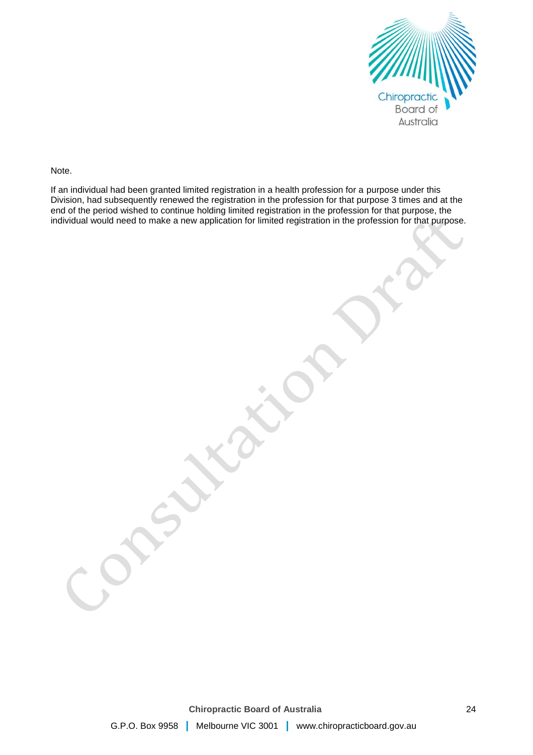

Note.

If an individual had been granted limited registration in a health profession for a purpose under this Division, had subsequently renewed the registration in the profession for that purpose 3 times and at the end of the period wished to continue holding limited registration in the profession for that purpose, the individual would need to make a new application for limited registration in the profession for that purpose.